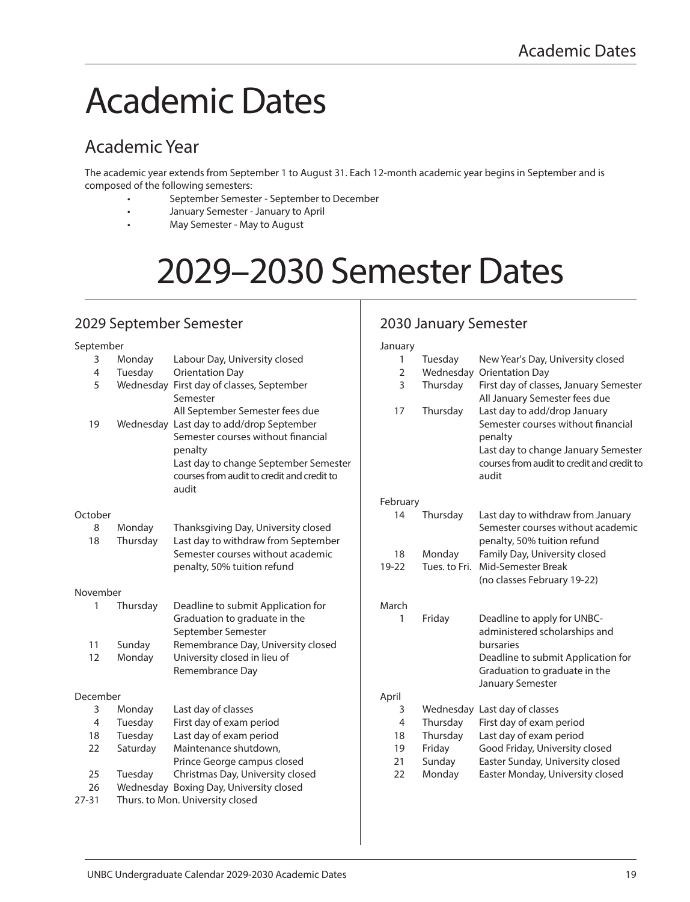# Academic Dates

# Academic Year

The academic year extends from September 1 to August 31. Each 12-month academic year begins in September and is composed of the following semesters:

- September Semester September to December
- January Semester January to April
- May Semester May to August

# 2029–2030 Semester Dates

## 2029 September Semester

#### September 3 Monday Labour Day, University closed 4 Tuesday Orientation Day 5 Wednesday First day of classes, September Semester All September Semester fees due 19 Wednesday Last day to add/drop September Semester courses without financial penalty Last day to change September Semester courses from audit to credit and credit to audit **October** 8 Monday Thanksgiving Day, University closed 18 Thursday Last day to withdraw from September Semester courses without academic penalty, 50% tuition refund November 1 Thursday Deadline to submit Application for Graduation to graduate in the September Semester 11 Sunday Remembrance Day, University closed 12 Monday University closed in lieu of Remembrance Day

#### December

| 3  | Monday    | Last day of classes              |
|----|-----------|----------------------------------|
| 4  | Tuesday   | First day of exam period         |
| 18 | Tuesday   | Last day of exam period          |
| 22 | Saturday  | Maintenance shutdown,            |
|    |           | Prince George campus closed      |
| 25 | Tuesday   | Christmas Day, University closed |
| 26 | Wednesdav | Boxing Day, University closed    |
|    |           | Thurs to Man University closed   |

27-31 Thurs. to Mon. University closed

## 2030 January Semester

| January        |               |                                                                                                                                                                             |
|----------------|---------------|-----------------------------------------------------------------------------------------------------------------------------------------------------------------------------|
| 1              | Tuesday       | New Year's Day, University closed                                                                                                                                           |
| $\overline{2}$ | Wednesday     | <b>Orientation Day</b>                                                                                                                                                      |
| 3              | Thursday      | First day of classes, January Semester<br>All January Semester fees due                                                                                                     |
| 17             | Thursday      | Last day to add/drop January<br>Semester courses without financial<br>penalty<br>Last day to change January Semester<br>courses from audit to credit and credit to<br>audit |
| February       |               |                                                                                                                                                                             |
| 14             | Thursday      | Last day to withdraw from January<br>Semester courses without academic<br>penalty, 50% tuition refund                                                                       |
| 18             | Monday        | Family Day, University closed                                                                                                                                               |
| 19-22          | Tues, to Fri. | Mid-Semester Break                                                                                                                                                          |
|                |               | (no classes February 19-22)                                                                                                                                                 |
| March          |               |                                                                                                                                                                             |
| 1              | Friday        | Deadline to apply for UNBC-                                                                                                                                                 |
|                |               | administered scholarships and<br>bursaries                                                                                                                                  |
|                |               | Deadline to submit Application for<br>Graduation to graduate in the                                                                                                         |
|                |               | January Semester                                                                                                                                                            |
| April          |               |                                                                                                                                                                             |
| 3              | Wednesday     | Last day of classes                                                                                                                                                         |
| 4              | Thursday      | First day of exam period                                                                                                                                                    |
| 18             | Thursday      | Last day of exam period                                                                                                                                                     |
| 19             | Friday        | Good Friday, University closed                                                                                                                                              |
| 21             | Sunday        | Easter Sunday, University closed                                                                                                                                            |
| 22             | Monday        | Easter Monday, University closed                                                                                                                                            |
|                |               |                                                                                                                                                                             |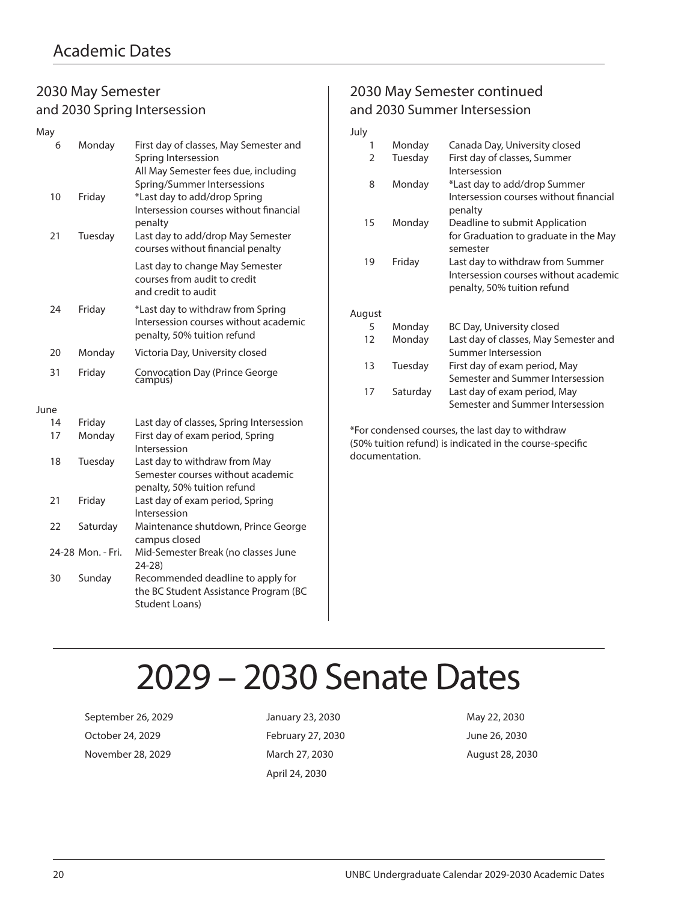### 2030 May Semester and 2030 Spring Intersession

| May  |    |                   |                                                                                                                                      |
|------|----|-------------------|--------------------------------------------------------------------------------------------------------------------------------------|
|      | 6  | Monday            | First day of classes, May Semester and<br>Spring Intersession<br>All May Semester fees due, including<br>Spring/Summer Intersessions |
|      | 10 | Friday            | *Last day to add/drop Spring<br>Intersession courses without financial<br>penalty                                                    |
|      | 21 | Tuesday           | Last day to add/drop May Semester<br>courses without financial penalty                                                               |
|      |    |                   | Last day to change May Semester<br>courses from audit to credit<br>and credit to audit                                               |
|      | 24 | Friday            | *Last day to withdraw from Spring<br>Intersession courses without academic<br>penalty, 50% tuition refund                            |
|      | 20 | Monday            | Victoria Day, University closed                                                                                                      |
|      | 31 | Friday            | Convocation Day (Prince George<br>campus)                                                                                            |
| June |    |                   |                                                                                                                                      |
|      | 14 | Friday            | Last day of classes, Spring Intersession                                                                                             |
|      | 17 | Monday            | First day of exam period, Spring<br>Intersession                                                                                     |
|      | 18 | Tuesday           | Last day to withdraw from May<br>Semester courses without academic<br>penalty, 50% tuition refund                                    |
|      | 21 | Friday            | Last day of exam period, Spring<br>Intersession                                                                                      |
|      | 22 | Saturday          | Maintenance shutdown, Prince George<br>campus closed                                                                                 |
|      |    | 24-28 Mon. - Fri. | Mid-Semester Break (no classes June<br>$24 - 28$                                                                                     |
|      | 30 | Sunday            | Recommended deadline to apply for<br>the BC Student Assistance Program (BC<br><b>Student Loans)</b>                                  |

## 2030 May Semester continued and 2030 Summer Intersession

| July   |          |                                                                                                          |
|--------|----------|----------------------------------------------------------------------------------------------------------|
| 1      | Monday   | Canada Day, University closed                                                                            |
| 2      | Tuesday  | First day of classes, Summer<br>Intersession                                                             |
| 8      | Monday   | *Last day to add/drop Summer<br>Intersession courses without financial<br>penalty                        |
| 15     | Monday   | Deadline to submit Application<br>for Graduation to graduate in the May<br>semester                      |
| 19     | Friday   | Last day to withdraw from Summer<br>Intersession courses without academic<br>penalty, 50% tuition refund |
| August |          |                                                                                                          |
| 5      | Monday   | BC Day, University closed                                                                                |
| 12     | Monday   | Last day of classes, May Semester and<br>Summer Intersession                                             |
| 13     | Tuesday  | First day of exam period, May<br>Semester and Summer Intersession                                        |
| 17     | Saturday | Last day of exam period, May<br>Semester and Summer Intersession                                         |

\*For condensed courses, the last day to withdraw (50% tuition refund) is indicated in the course-specific documentation.

# 2029 – 2030 Senate Dates

September 26, 2029 January 23, 2030 May 22, 2030 October 24, 2029 February 27, 2030 June 26, 2030 November 28, 2029 March 27, 2030 March 27, 2030 August 28, 2030

April 24, 2030